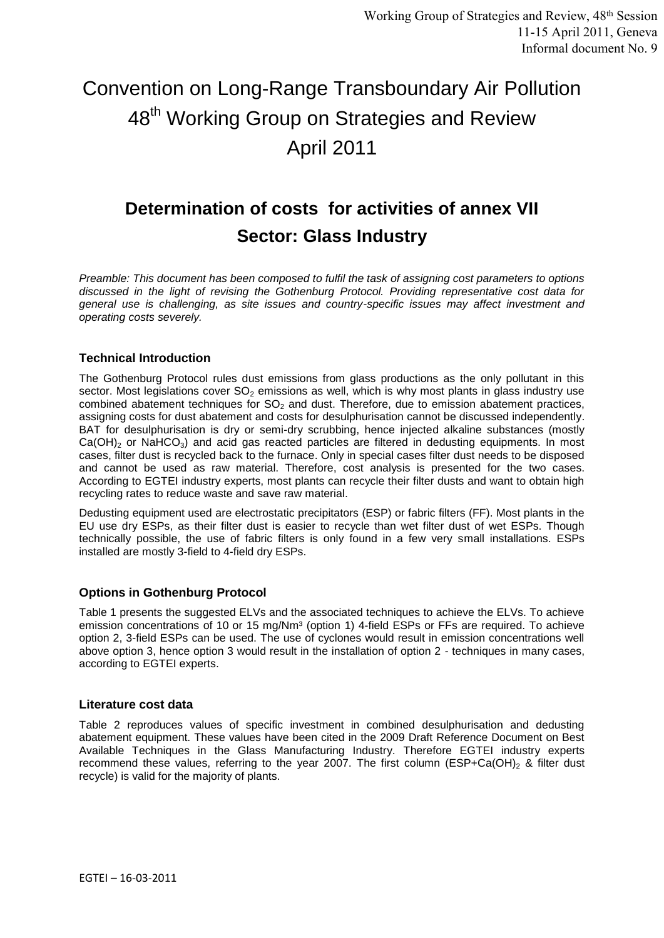# Convention on Long-Range Transboundary Air Pollution 48<sup>th</sup> Working Group on Strategies and Review April 2011

# **Determination of costs for activities of annex VII Sector: Glass Industry**

*Preamble: This document has been composed to fulfil the task of assigning cost parameters to options discussed in the light of revising the Gothenburg Protocol. Providing representative cost data for general use is challenging, as site issues and country-specific issues may affect investment and operating costs severely.*

## **Technical Introduction**

The Gothenburg Protocol rules dust emissions from glass productions as the only pollutant in this sector. Most legislations cover  $SO<sub>2</sub>$  emissions as well, which is why most plants in glass industry use combined abatement techniques for  $SO<sub>2</sub>$  and dust. Therefore, due to emission abatement practices, assigning costs for dust abatement and costs for desulphurisation cannot be discussed independently. BAT for desulphurisation is dry or semi-dry scrubbing, hence injected alkaline substances (mostly  $Ca(OH)_2$  or NaHCO<sub>3</sub>) and acid gas reacted particles are filtered in dedusting equipments. In most cases, filter dust is recycled back to the furnace. Only in special cases filter dust needs to be disposed and cannot be used as raw material. Therefore, cost analysis is presented for the two cases. According to EGTEI industry experts, most plants can recycle their filter dusts and want to obtain high recycling rates to reduce waste and save raw material.

Dedusting equipment used are electrostatic precipitators (ESP) or fabric filters (FF). Most plants in the EU use dry ESPs, as their filter dust is easier to recycle than wet filter dust of wet ESPs. Though technically possible, the use of fabric filters is only found in a few very small installations. ESPs installed are mostly 3-field to 4-field dry ESPs.

### **Options in Gothenburg Protocol**

Table 1 presents the suggested ELVs and the associated techniques to achieve the ELVs. To achieve emission concentrations of 10 or 15 mg/Nm<sup>3</sup> (option 1) 4-field ESPs or FFs are required. To achieve option 2, 3-field ESPs can be used. The use of cyclones would result in emission concentrations well above option 3, hence option 3 would result in the installation of option 2 - techniques in many cases, according to EGTEI experts.

### **Literature cost data**

Table 2 reproduces values of specific investment in combined desulphurisation and dedusting abatement equipment. These values have been cited in the 2009 Draft Reference Document on Best Available Techniques in the Glass Manufacturing Industry. Therefore EGTEI industry experts recommend these values, referring to the year 2007. The first column (ESP+Ca(OH)<sub>2</sub> & filter dust recycle) is valid for the majority of plants.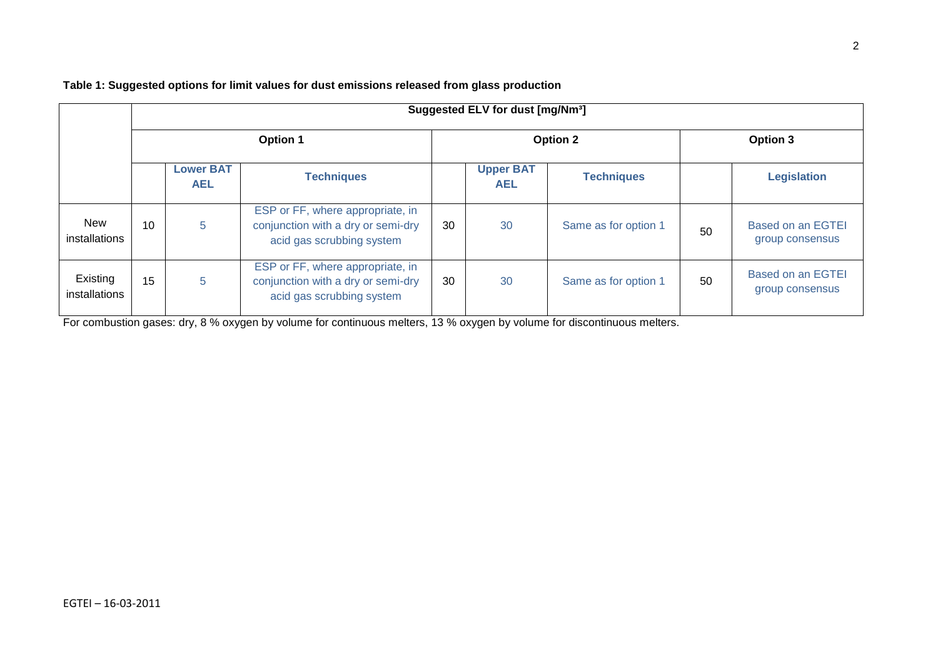| Suggested ELV for dust [mg/Nm <sup>3</sup> ] |                 |                                |                                                                                                     |    |                                |                      |          |                                             |  |  |  |
|----------------------------------------------|-----------------|--------------------------------|-----------------------------------------------------------------------------------------------------|----|--------------------------------|----------------------|----------|---------------------------------------------|--|--|--|
|                                              |                 |                                |                                                                                                     |    |                                |                      |          |                                             |  |  |  |
|                                              | <b>Option 1</b> |                                |                                                                                                     |    |                                | <b>Option 2</b>      | Option 3 |                                             |  |  |  |
|                                              |                 | <b>Lower BAT</b><br><b>AEL</b> | <b>Techniques</b>                                                                                   |    | <b>Upper BAT</b><br><b>AEL</b> | <b>Techniques</b>    |          | <b>Legislation</b>                          |  |  |  |
| <b>New</b><br>installations                  | 10              | 5                              | ESP or FF, where appropriate, in<br>conjunction with a dry or semi-dry<br>acid gas scrubbing system | 30 | 30                             | Same as for option 1 | 50       | <b>Based on an EGTEI</b><br>group consensus |  |  |  |
| Existing<br>installations                    | 15              | 5                              | ESP or FF, where appropriate, in<br>conjunction with a dry or semi-dry<br>acid gas scrubbing system | 30 | 30                             | Same as for option 1 | 50       | <b>Based on an EGTEI</b><br>group consensus |  |  |  |

**Table 1: Suggested options for limit values for dust emissions released from glass production**

For combustion gases: dry, 8 % oxygen by volume for continuous melters, 13 % oxygen by volume for discontinuous melters.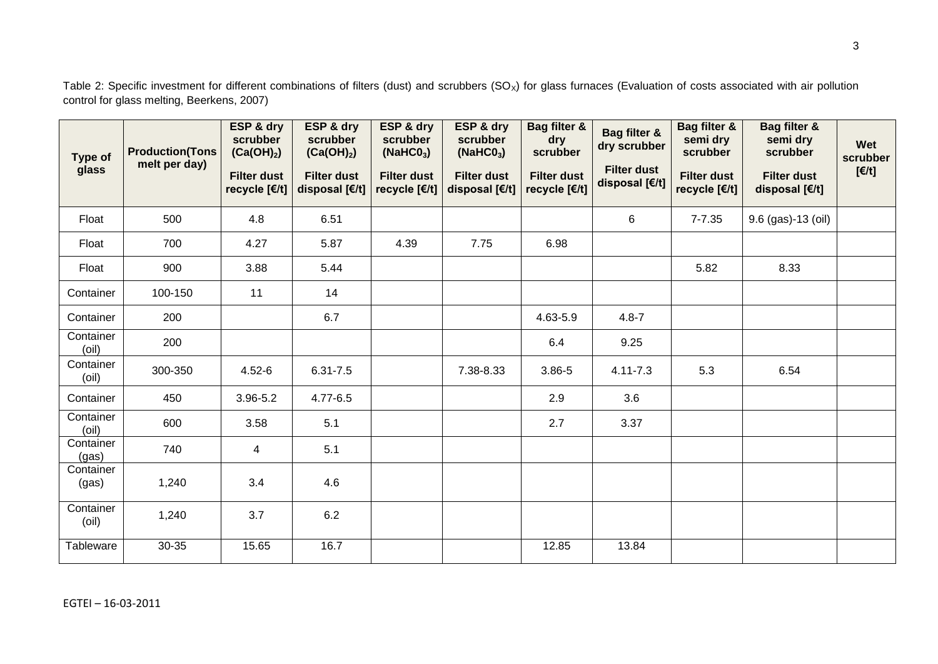Table 2: Specific investment for different combinations of filters (dust) and scrubbers  $(SO<sub>x</sub>)$  for glass furnaces (Evaluation of costs associated with air pollution control for glass melting, Beerkens, 2007)

| <b>Type of</b><br>glass | <b>Production(Tons</b><br>melt per day) | ESP & dry<br>scrubber<br>(Ca(OH) <sub>2</sub> )<br><b>Filter dust</b><br>recycle [€/t] | ESP & dry<br>scrubber<br>(Ca(OH) <sub>2</sub> )<br><b>Filter dust</b><br>disposal [€/t] | ESP & dry<br>scrubber<br>(NaHCO <sub>3</sub> )<br><b>Filter dust</b><br>recycle [€/t] | ESP & dry<br>scrubber<br>(NaHCO <sub>3</sub> )<br><b>Filter dust</b><br>disposal [€/t] | Bag filter &<br>dry<br>scrubber<br><b>Filter dust</b><br>recycle [€/t] | Bag filter &<br>dry scrubber<br><b>Filter dust</b><br>disposal [€/t] | Bag filter &<br>semi dry<br>scrubber<br><b>Filter dust</b><br>recycle [€/t] | Bag filter &<br>semi dry<br>scrubber<br><b>Filter dust</b><br>disposal [€/t] | Wet<br>scrubber<br>$E/t$ ] |
|-------------------------|-----------------------------------------|----------------------------------------------------------------------------------------|-----------------------------------------------------------------------------------------|---------------------------------------------------------------------------------------|----------------------------------------------------------------------------------------|------------------------------------------------------------------------|----------------------------------------------------------------------|-----------------------------------------------------------------------------|------------------------------------------------------------------------------|----------------------------|
| Float                   | 500                                     | 4.8                                                                                    | 6.51                                                                                    |                                                                                       |                                                                                        |                                                                        | 6                                                                    | $7 - 7.35$                                                                  | 9.6 (gas)-13 (oil)                                                           |                            |
| Float                   | 700                                     | 4.27                                                                                   | 5.87                                                                                    | 4.39                                                                                  | 7.75                                                                                   | 6.98                                                                   |                                                                      |                                                                             |                                                                              |                            |
| Float                   | 900                                     | 3.88                                                                                   | 5.44                                                                                    |                                                                                       |                                                                                        |                                                                        |                                                                      | 5.82                                                                        | 8.33                                                                         |                            |
| Container               | 100-150                                 | 11                                                                                     | 14                                                                                      |                                                                                       |                                                                                        |                                                                        |                                                                      |                                                                             |                                                                              |                            |
| Container               | 200                                     |                                                                                        | 6.7                                                                                     |                                                                                       |                                                                                        | 4.63-5.9                                                               | $4.8 - 7$                                                            |                                                                             |                                                                              |                            |
| Container<br>(oil)      | 200                                     |                                                                                        |                                                                                         |                                                                                       |                                                                                        | 6.4                                                                    | 9.25                                                                 |                                                                             |                                                                              |                            |
| Container<br>(oil)      | 300-350                                 | $4.52 - 6$                                                                             | $6.31 - 7.5$                                                                            |                                                                                       | 7.38-8.33                                                                              | 3.86-5                                                                 | $4.11 - 7.3$                                                         | 5.3                                                                         | 6.54                                                                         |                            |
| Container               | 450                                     | $3.96 - 5.2$                                                                           | 4.77-6.5                                                                                |                                                                                       |                                                                                        | 2.9                                                                    | 3.6                                                                  |                                                                             |                                                                              |                            |
| Container<br>(oil)      | 600                                     | 3.58                                                                                   | 5.1                                                                                     |                                                                                       |                                                                                        | 2.7                                                                    | 3.37                                                                 |                                                                             |                                                                              |                            |
| Container<br>(gas)      | 740                                     | 4                                                                                      | 5.1                                                                                     |                                                                                       |                                                                                        |                                                                        |                                                                      |                                                                             |                                                                              |                            |
| Container<br>(gas)      | 1,240                                   | 3.4                                                                                    | 4.6                                                                                     |                                                                                       |                                                                                        |                                                                        |                                                                      |                                                                             |                                                                              |                            |
| Container<br>(oil)      | 1,240                                   | 3.7                                                                                    | 6.2                                                                                     |                                                                                       |                                                                                        |                                                                        |                                                                      |                                                                             |                                                                              |                            |
| Tableware               | 30-35                                   | 15.65                                                                                  | 16.7                                                                                    |                                                                                       |                                                                                        | 12.85                                                                  | 13.84                                                                |                                                                             |                                                                              |                            |